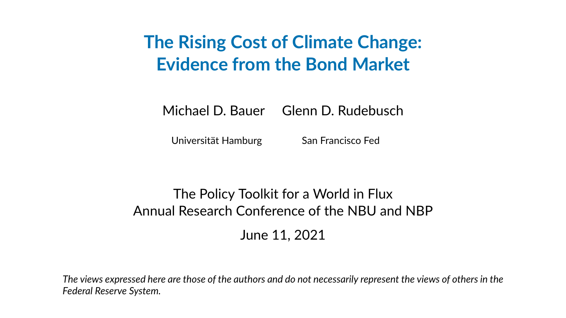## **The Rising Cost of Climate Change: Evidence from the Bond Market**

Michael D. Bauer Glenn D. Rudebusch

Universität Hamburg San Francisco Fed

#### The Policy Toolkit for a World in Flux Annual Research Conference of the NBU and NBP June 11, 2021

*The views expressed here are those of the authors and do not necessarily represent the views of others in the Federal Reserve System.*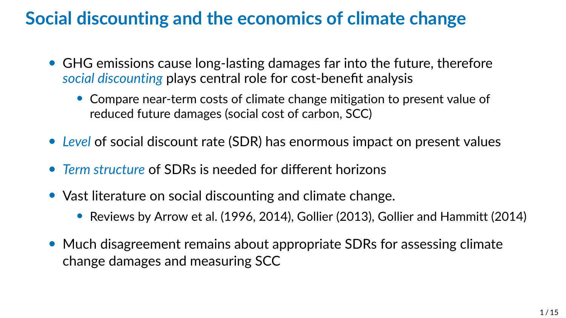### **Social discounting and the economics of climate change**

- GHG emissions cause long-lasting damages far into the future, therefore *social discounting* plays central role for cost-benefit analysis
	- Compare near-term costs of climate change mitigation to present value of reduced future damages (social cost of carbon, SCC)
- *Level* of social discount rate (SDR) has enormous impact on present values
- *Term structure* of SDRs is needed for different horizons
- Vast literature on social discounting and climate change.
	- Reviews by Arrow et al. (1996, 2014), Gollier (2013), Gollier and Hammitt (2014)
- Much disagreement remains about appropriate SDRs for assessing climate change damages and measuring SCC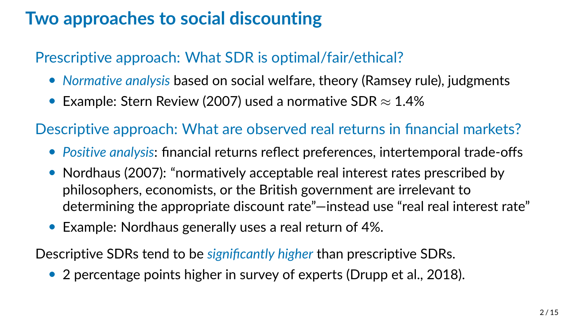### **Two approaches to social discounting**

#### Prescriptive approach: What SDR is optimal/fair/ethical?

- *Normative analysis* based on social welfare, theory (Ramsey rule), judgments
- Example: Stern Review (2007) used a normative SDR  $\approx$  1.4%

Descriptive approach: What are observed real returns in financial markets?

- *Positive analysis*: financial returns reflect preferences, intertemporal trade-offs
- Nordhaus (2007): "normatively acceptable real interest rates prescribed by philosophers, economists, or the British government are irrelevant to determining the appropriate discount rate"—instead use "real real interest rate"
- Example: Nordhaus generally uses a real return of 4%.

Descriptive SDRs tend to be *significantly higher* than prescriptive SDRs.

• 2 percentage points higher in survey of experts (Drupp et al., 2018).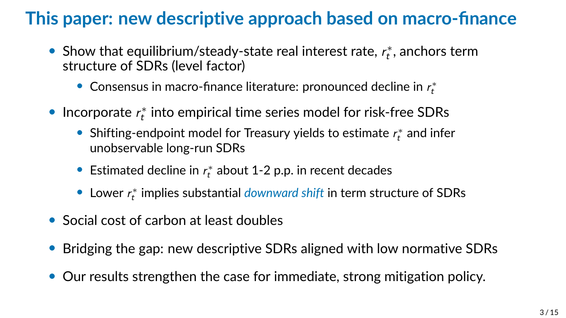## **This paper: new descriptive approach based on macro-finance**

- Show that equilibrium/steady-state real interest rate,  $r_t^*$ , anchors term structure of SDRs (level factor)
	- Consensus in macro-finance literature: pronounced decline in  $r_{t}^{*}$
- $\bullet$  Incorporate  $r_{t}^*$  into empirical time series model for risk-free SDRs
	- Shifting-endpoint model for Treasury yields to estimate  $r_t^*$  and infer unobservable long-run SDRs
	- Estimated decline in  $r_t^*$  about 1-2 p.p. in recent decades
	- Lower r ∗ t implies substantial *downward shift* in term structure of SDRs
- Social cost of carbon at least doubles
- Bridging the gap: new descriptive SDRs aligned with low normative SDRs
- Our results strengthen the case for immediate, strong mitigation policy.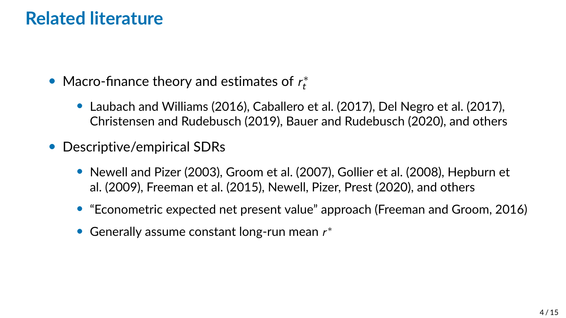#### **Related literature**

- Macro-finance theory and estimates of  $r_t^*$ 
	- Laubach and Williams (2016), Caballero et al. (2017), Del Negro et al. (2017), Christensen and Rudebusch (2019), Bauer and Rudebusch (2020), and others
- Descriptive/empirical SDRs
	- Newell and Pizer (2003), Groom et al. (2007), Gollier et al. (2008), Hepburn et al. (2009), Freeman et al. (2015), Newell, Pizer, Prest (2020), and others
	- "Econometric expected net present value" approach (Freeman and Groom, 2016)
	- Generally assume constant long-run mean  $r^*$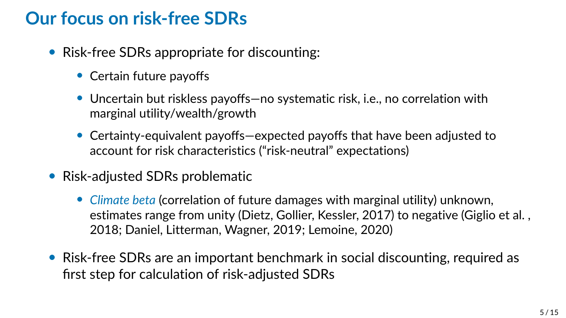#### **Our focus on risk-free SDRs**

- Risk-free SDRs appropriate for discounting:
	- Certain future payoffs
	- Uncertain but riskless payoffs—no systematic risk, i.e., no correlation with marginal utility/wealth/growth
	- Certainty-equivalent payoffs—expected payoffs that have been adjusted to account for risk characteristics ("risk-neutral" expectations)
- Risk-adjusted SDRs problematic
	- *Climate beta* (correlation of future damages with marginal utility) unknown, estimates range from unity (Dietz, Gollier, Kessler, 2017) to negative (Giglio et al. , 2018; Daniel, Litterman, Wagner, 2019; Lemoine, 2020)
- Risk-free SDRs are an important benchmark in social discounting, required as first step for calculation of risk-adjusted SDRs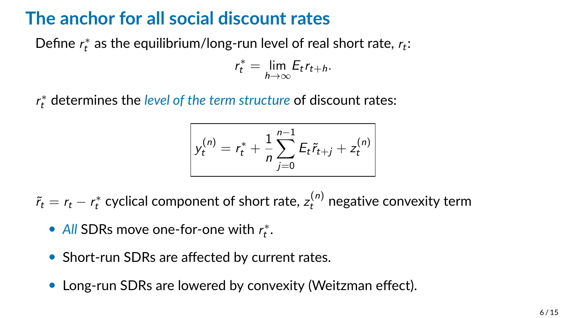### **The anchor for all social discount rates**

Define  $r_t^*$  as the equilibrium/long-run level of real short rate,  $r_t$ :

$$
r_t^* = \lim_{h \to \infty} E_t r_{t+h}.
$$

r ∗ <sup>t</sup> determines the *level of the term structure* of discount rates:

$$
y_t^{(n)} = r_t^* + \frac{1}{n} \sum_{j=0}^{n-1} E_t \tilde{r}_{t+j} + z_t^{(n)}
$$

 $\tilde{r}_t = r_t - r_t^*$  cyclical component of short rate,  $z_t^{(n)}$  negative convexity term

- All SDRs move one-for-one with  $r_t^*$ .
- Short-run SDRs are affected by current rates.
- Long-run SDRs are lowered by convexity (Weitzman effect).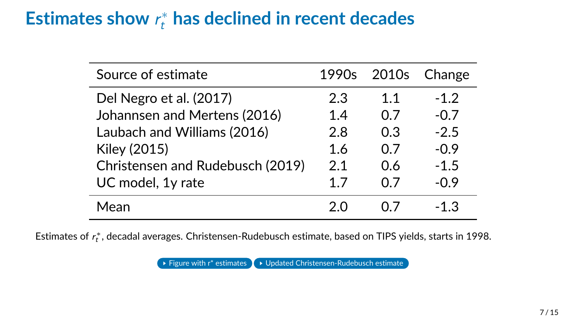# Estimates show  $r_t^*$  has declined in recent decades

| Source of estimate               | 1990s |     | 2010s Change |
|----------------------------------|-------|-----|--------------|
| Del Negro et al. (2017)          | 2.3   | 1.1 | $-1.2$       |
| Johannsen and Mertens (2016)     | 1.4   | 0.7 | $-0.7$       |
| Laubach and Williams (2016)      | 2.8   | 0.3 | $-2.5$       |
| Kiley (2015)                     | 1.6   | 0.7 | $-0.9$       |
| Christensen and Rudebusch (2019) | 2.1   | 0.6 | $-1.5$       |
| UC model, 1y rate                | 1.7   | 0 7 | $-0.9$       |
| Mean                             |       |     | -1.3         |

Estimates of  $r_{t}^{*}$ , decadal averages. Christensen-Rudebusch estimate, based on TIPS yields, starts in 1998.

Figure with r<sup>\*</sup> estimates **DEPA** [Updated Christensen-Rudebusch estimate](#page-20-0)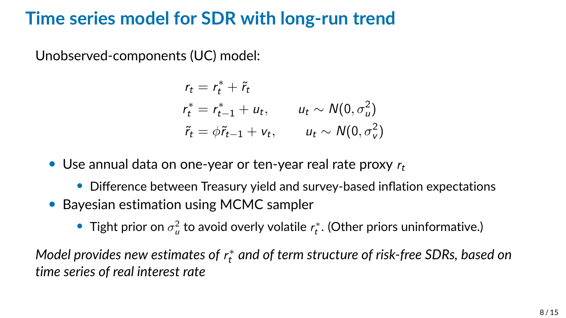#### **Time series model for SDR with long-run trend**

Unobserved-components (UC) model:

$$
r_t = r_t^* + \tilde{r}_t
$$
  
\n
$$
r_t^* = r_{t-1}^* + u_t, \qquad u_t \sim N(0, \sigma_u^2)
$$
  
\n
$$
\tilde{r}_t = \phi \tilde{r}_{t-1} + v_t, \qquad u_t \sim N(0, \sigma_v^2)
$$

• Use annual data on one-year or ten-year real rate proxy  $r_t$ 

- Difference between Treasury yield and survey-based inflation expectations
- Bayesian estimation using MCMC sampler
	- $\bullet$  Tight prior on  $\sigma^2_u$  to avoid overly volatile  $\iota_t^*$ . (Other priors uninformative.)

Model provides new estimates of  $r_{t}^{\ast}$  and of term structure of risk-free SDRs, based on *time series of real interest rate*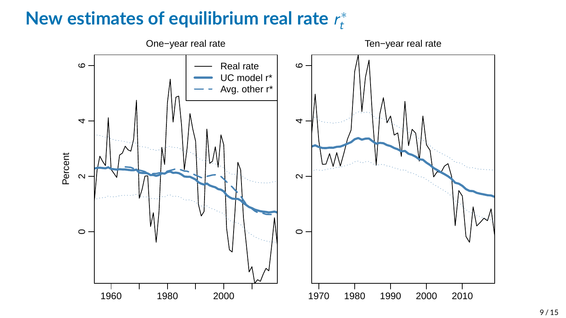#### **New estimates of equilibrium real rate** r ∗ t

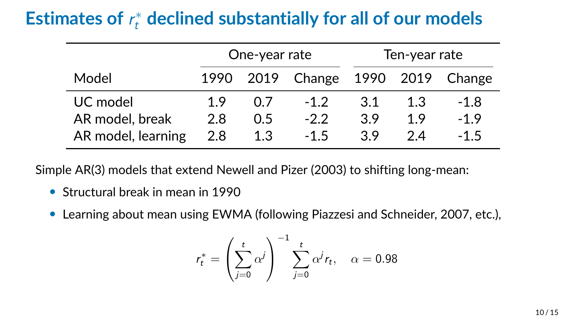# Estimates of  $r_t^*$  declined substantially for all of our models

|                    | One-year rate |     |                                   | Ten-year rate |     |        |
|--------------------|---------------|-----|-----------------------------------|---------------|-----|--------|
| Model              |               |     | 1990 2019 Change 1990 2019 Change |               |     |        |
| UC model           | 19            | 07  | $-12$                             | 3.1           | 1.3 | $-1.8$ |
| AR model, break    | 2.8           | 0.5 | $-2.2$                            | 3.9           | 1.9 | $-1.9$ |
| AR model, learning | 2.8           | 1.3 | $-1.5$                            | 39            | 24  | $-1.5$ |

Simple AR(3) models that extend Newell and Pizer (2003) to shifting long-mean:

- Structural break in mean in 1990
- Learning about mean using EWMA (following Piazzesi and Schneider, 2007, etc.),

$$
r_t^* = \left(\sum_{j=0}^t \alpha^j\right)^{-1} \sum_{j=0}^t \alpha^j r_t, \quad \alpha = 0.98
$$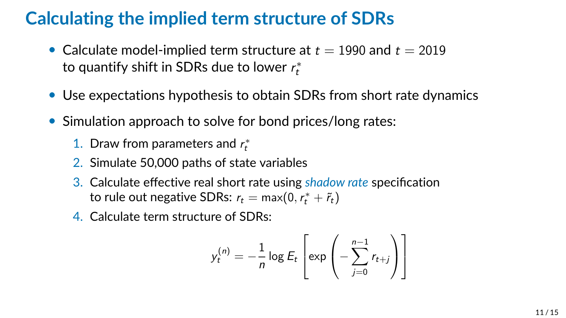## **Calculating the implied term structure of SDRs**

- Calculate model-implied term structure at  $t = 1990$  and  $t = 2019$ to quantify shift in SDRs due to lower  $r_{t}^{\ast}$
- Use expectations hypothesis to obtain SDRs from short rate dynamics
- Simulation approach to solve for bond prices/long rates:
	- 1. Draw from parameters and  $r_t^*$
	- 2. Simulate 50,000 paths of state variables
	- 3. Calculate effective real short rate using *shadow rate* specification to rule out negative SDRs:  $r_t = \max(0, r_t^* + \tilde{r}_t)$
	- 4. Calculate term structure of SDRs:

$$
y_t^{(n)} = -\frac{1}{n} \log E_t \left[ \exp \left( -\sum_{j=0}^{n-1} r_{t+j} \right) \right]
$$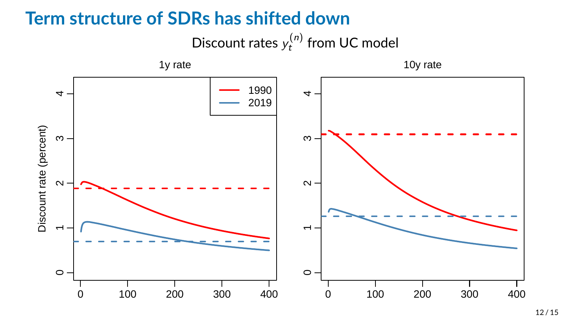#### **Term structure of SDRs has shifted down**



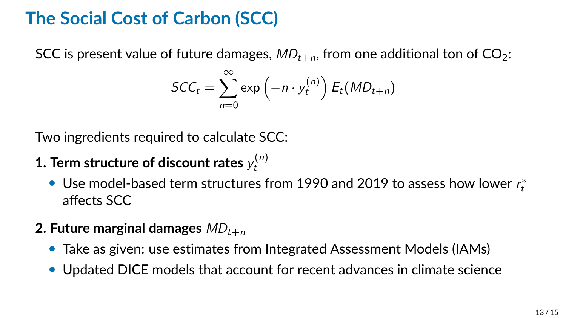## **The Social Cost of Carbon (SCC)**

SCC is present value of future damages,  $MD_{t+n}$ , from one additional ton of CO<sub>2</sub>:

$$
\mathsf{SCC}_t = \sum_{n=0}^{\infty} \exp\left(-n \cdot y_t^{(n)}\right) E_t(MD_{t+n})
$$

Two ingredients required to calculate SCC:

- **1. Term structure of discount rates**  $y_t^{(n)}$ t
	- Use model-based term structures from 1990 and 2019 to assess how lower  $r_t^*$ affects SCC

#### **2. Future marginal damages**  $MD_{t+n}$

- Take as given: use estimates from Integrated Assessment Models (IAMs)
- Updated DICE models that account for recent advances in climate science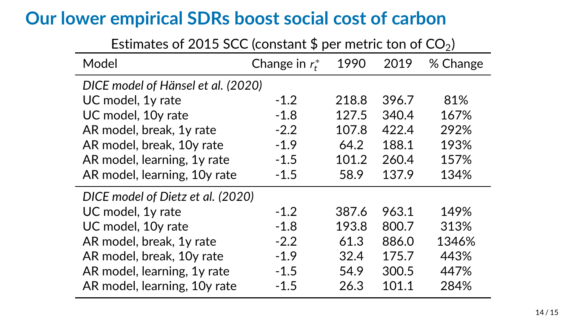#### **Our lower empirical SDRs boost social cost of carbon**

| <b>ESUMARY</b> OF <b>EVIS SCC</b> (CONSTANT $\psi$ per include ton or $C\mathcal{O}(n)$ |                 |       |       |          |  |  |  |  |
|-----------------------------------------------------------------------------------------|-----------------|-------|-------|----------|--|--|--|--|
| Model                                                                                   | Change in $r^*$ | 1990  | 2019  | % Change |  |  |  |  |
| DICE model of Hänsel et al. (2020)                                                      |                 |       |       |          |  |  |  |  |
| UC model, 1y rate                                                                       | $-1.2$          | 218.8 | 396.7 | 81%      |  |  |  |  |
| UC model, 10y rate                                                                      | $-1.8$          | 127.5 | 340.4 | 167%     |  |  |  |  |
| AR model, break, 1y rate                                                                | $-2.2$          | 107.8 | 422.4 | 292%     |  |  |  |  |
| AR model, break, 10y rate                                                               | $-1.9$          | 64.2  | 188.1 | 193%     |  |  |  |  |
| AR model, learning, 1y rate                                                             | $-1.5$          | 101.2 | 260.4 | 157%     |  |  |  |  |
| AR model, learning, 10y rate                                                            | $-1.5$          | 58.9  | 137.9 | 134%     |  |  |  |  |
| DICE model of Dietz et al. (2020)                                                       |                 |       |       |          |  |  |  |  |
| UC model, 1y rate                                                                       | $-1.2$          | 387.6 | 963.1 | 149%     |  |  |  |  |
| UC model, 10y rate                                                                      | $-1.8$          | 193.8 | 800.7 | 313%     |  |  |  |  |
| AR model, break, 1y rate                                                                | $-2.2$          | 61.3  | 886.0 | 1346%    |  |  |  |  |
| AR model, break, 10y rate                                                               | $-1.9$          | 32.4  | 175.7 | 443%     |  |  |  |  |
| AR model, learning, 1y rate                                                             | $-1.5$          | 54.9  | 300.5 | 447%     |  |  |  |  |
| AR model, learning, 10y rate                                                            | $-1.5$          | 26.3  | 101.1 | 284%     |  |  |  |  |

Estimates of 2015 SCC (separately \$ per metric top of  $CO<sub>2</sub>$ )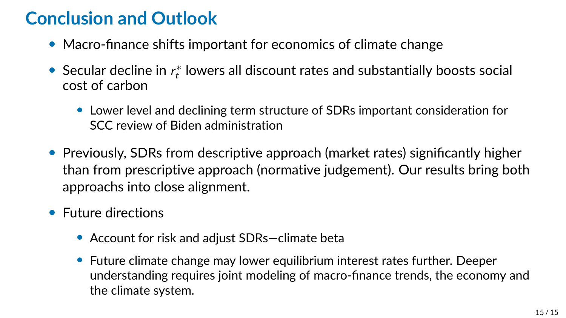## **Conclusion and Outlook**

- Macro-finance shifts important for economics of climate change
- Secular decline in  $r_t^*$  lowers all discount rates and substantially boosts social cost of carbon
	- Lower level and declining term structure of SDRs important consideration for SCC review of Biden administration
- Previously, SDRs from descriptive approach (market rates) significantly higher than from prescriptive approach (normative judgement). Our results bring both approachs into close alignment.
- Future directions
	- Account for risk and adjust SDRs—climate beta
	- Future climate change may lower equilibrium interest rates further. Deeper understanding requires joint modeling of macro-finance trends, the economy and the climate system.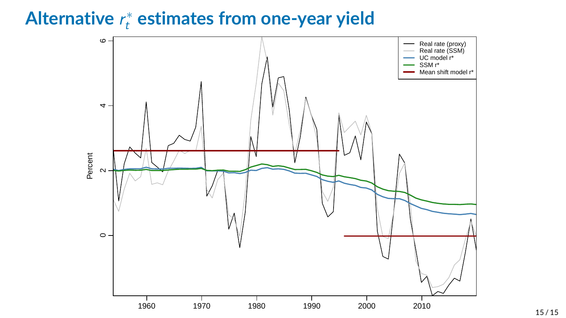# **Alternative** r ∗ <sup>t</sup> **estimates from one-year yield**

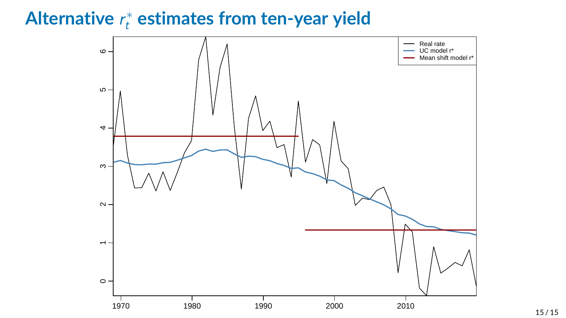# **Alternative** r ∗ <sup>t</sup> **estimates from ten-year yield**

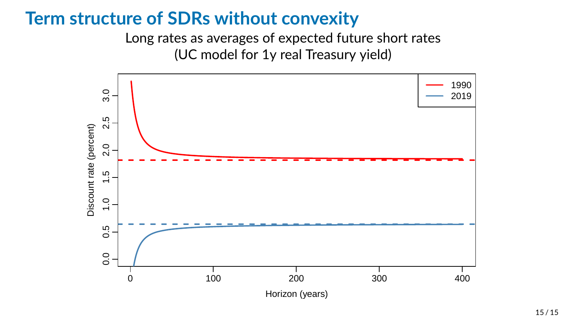#### **Term structure of SDRs without convexity**

Long rates as averages of expected future short rates (UC model for 1y real Treasury yield)

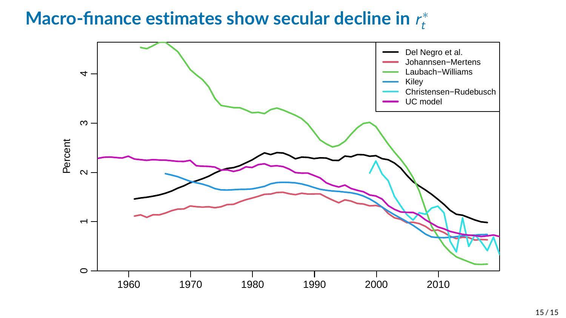#### **Macro-finance estimates show secular decline in** r ∗ t

<span id="page-19-0"></span>